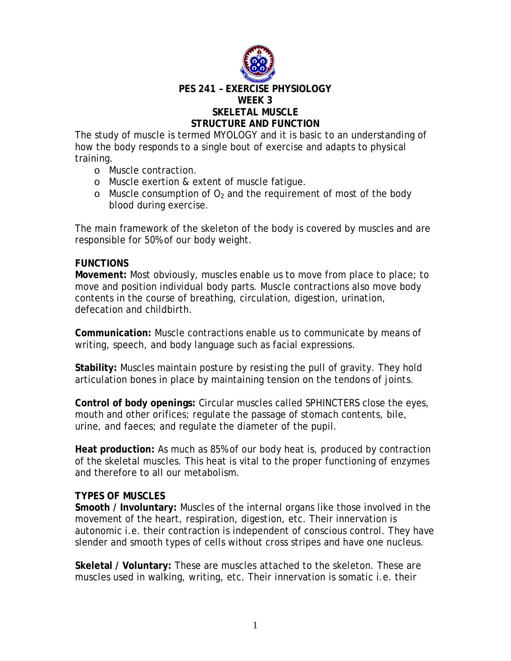

#### **PES 241 – EXERCISE PHYSIOLOGY WEEK 3 SKELETAL MUSCLE STRUCTURE AND FUNCTION**

The study of muscle is termed MYOLOGY and it is basic to an understanding of how the body responds to a single bout of exercise and adapts to physical training.

- o Muscle contraction.
- o Muscle exertion & extent of muscle fatigue.
- o Muscle consumption of  $O<sub>2</sub>$  and the requirement of most of the body blood during exercise.

The main framework of the skeleton of the body is covered by muscles and are responsible for 50% of our body weight.

#### **FUNCTIONS**

**Movement:** Most obviously, muscles enable us to move from place to place; to move and position individual body parts. Muscle contractions also move body contents in the course of breathing, circulation, digestion, urination, defecation and childbirth.

**Communication:** Muscle contractions enable us to communicate by means of writing, speech, and body language such as facial expressions.

**Stability:** Muscles maintain posture by resisting the pull of gravity. They hold articulation bones in place by maintaining tension on the tendons of joints.

**Control of body openings:** Circular muscles called SPHINCTERS close the eyes, mouth and other orifices; regulate the passage of stomach contents, bile, urine, and faeces; and regulate the diameter of the pupil.

**Heat production:** As much as 85% of our body heat is, produced by contraction of the skeletal muscles. This heat is vital to the proper functioning of enzymes and therefore to all our metabolism.

# **TYPES OF MUSCLES**

**Smooth / Involuntary:** Muscles of the internal organs like those involved in the movement of the heart, respiration, digestion, etc. Their innervation is autonomic i.e. their contraction is independent of conscious control. They have slender and smooth types of cells without cross stripes and have one nucleus.

**Skeletal / Voluntary:** These are muscles attached to the skeleton. These are muscles used in walking, writing, etc. Their innervation is somatic i.e. their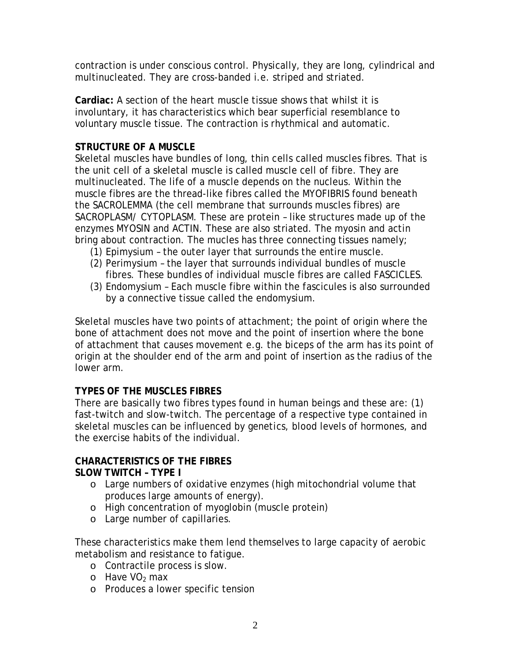contraction is under conscious control. Physically, they are long, cylindrical and multinucleated. They are cross-banded i.e. striped and striated.

**Cardiac:** A section of the heart muscle tissue shows that whilst it is involuntary, it has characteristics which bear superficial resemblance to voluntary muscle tissue. The contraction is rhythmical and automatic.

# **STRUCTURE OF A MUSCLE**

Skeletal muscles have bundles of long, thin cells called muscles fibres. That is the unit cell of a skeletal muscle is called muscle cell of fibre. They are multinucleated. The life of a muscle depends on the nucleus. Within the muscle fibres are the thread-like fibres called the MYOFIBRIS found beneath the SACROLEMMA (the cell membrane that surrounds muscles fibres) are SACROPLASM/ CYTOPLASM. These are protein – like structures made up of the enzymes MYOSIN and ACTIN. These are also striated. The myosin and actin bring about contraction. The mucles has three connecting tissues namely;

- (1) Epimysium the outer layer that surrounds the entire muscle.
- (2) Perimysium the layer that surrounds individual bundles of muscle fibres. These bundles of individual muscle fibres are called FASCICLES.
- (3) Endomysium Each muscle fibre within the fascicules is also surrounded by a connective tissue called the endomysium.

Skeletal muscles have two points of attachment; the point of origin where the bone of attachment does not move and the point of insertion where the bone of attachment that causes movement e.g. the biceps of the arm has its point of origin at the shoulder end of the arm and point of insertion as the radius of the lower arm.

# **TYPES OF THE MUSCLES FIBRES**

There are basically two fibres types found in human beings and these are: (1) fast-twitch and slow-twitch. The percentage of a respective type contained in skeletal muscles can be influenced by genetics, blood levels of hormones, and the exercise habits of the individual.

# **CHARACTERISTICS OF THE FIBRES**

# **SLOW TWITCH – TYPE I**

- o Large numbers of oxidative enzymes (high mitochondrial volume that produces large amounts of energy).
- o High concentration of myoglobin (muscle protein)
- o Large number of capillaries.

These characteristics make them lend themselves to large capacity of aerobic metabolism and resistance to fatigue.

- o Contractile process is slow.
- $\circ$  Have VO<sub>2</sub> max
- o Produces a lower specific tension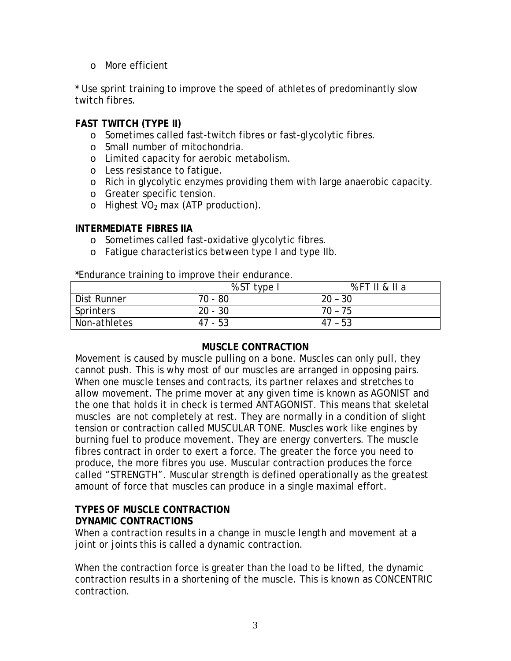o More efficient

\* Use sprint training to improve the speed of athletes of predominantly slow twitch fibres.

# **FAST TWITCH (TYPE II)**

- o Sometimes called fast-twitch fibres or fast-glycolytic fibres.
- o Small number of mitochondria.
- o Limited capacity for aerobic metabolism.
- o Less resistance to fatigue.
- o Rich in glycolytic enzymes providing them with large anaerobic capacity.
- o Greater specific tension.
- o Highest  $VO<sub>2</sub>$  max (ATP production).

#### **INTERMEDIATE FIBRES IIA**

- o Sometimes called fast-oxidative glycolytic fibres.
- o Fatigue characteristics between type I and type IIb.

\*Endurance training to improve their endurance.

|              | % ST<br>itype i | %FTII & II a |
|--------------|-----------------|--------------|
| Dist Runner  | 70<br>- 80      | $20 - 30$    |
| Sprinters    | $20 - 30$       | 70 -<br>75   |
| Non-athletes | $47 - 53$       | 47<br>- 53   |

#### **MUSCLE CONTRACTION**

Movement is caused by muscle pulling on a bone. Muscles can only pull, they cannot push. This is why most of our muscles are arranged in opposing pairs. When one muscle tenses and contracts, its partner relaxes and stretches to allow movement. The prime mover at any given time is known as AGONIST and the one that holds it in check is termed ANTAGONIST. This means that skeletal muscles are not completely at rest. They are normally in a condition of slight tension or contraction called MUSCULAR TONE. Muscles work like engines by burning fuel to produce movement. They are energy converters. The muscle fibres contract in order to exert a force. The greater the force you need to produce, the more fibres you use. Muscular contraction produces the force called "STRENGTH". Muscular strength is defined operationally as the greatest amount of force that muscles can produce in a single maximal effort.

#### **TYPES OF MUSCLE CONTRACTION DYNAMIC CONTRACTIONS**

When a contraction results in a change in muscle length and movement at a joint or joints this is called a dynamic contraction.

When the contraction force is greater than the load to be lifted, the dynamic contraction results in a shortening of the muscle. This is known as CONCENTRIC contraction.